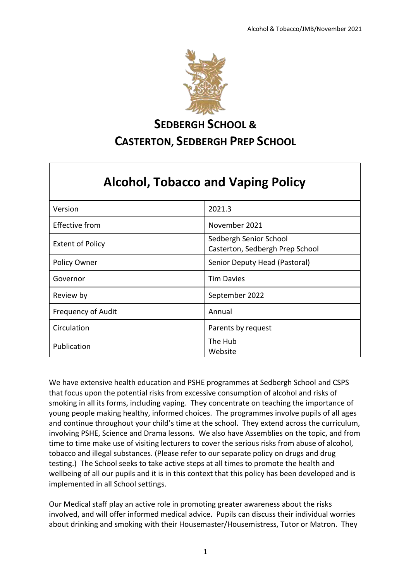

# **SEDBERGH SCHOOL & CASTERTON, SEDBERGH PREP SCHOOL**

| <b>Alcohol, Tobacco and Vaping Policy</b> |                                                           |  |
|-------------------------------------------|-----------------------------------------------------------|--|
| Version                                   | 2021.3                                                    |  |
| Effective from                            | November 2021                                             |  |
| <b>Extent of Policy</b>                   | Sedbergh Senior School<br>Casterton, Sedbergh Prep School |  |
| <b>Policy Owner</b>                       | Senior Deputy Head (Pastoral)                             |  |
| Governor                                  | <b>Tim Davies</b>                                         |  |
| Review by                                 | September 2022                                            |  |
| <b>Frequency of Audit</b>                 | Annual                                                    |  |
| Circulation                               | Parents by request                                        |  |
| Publication                               | The Hub<br>Website                                        |  |

We have extensive health education and PSHE programmes at Sedbergh School and CSPS that focus upon the potential risks from excessive consumption of alcohol and risks of smoking in all its forms, including vaping. They concentrate on teaching the importance of young people making healthy, informed choices. The programmes involve pupils of all ages and continue throughout your child's time at the school. They extend across the curriculum, involving PSHE, Science and Drama lessons. We also have Assemblies on the topic, and from time to time make use of visiting lecturers to cover the serious risks from abuse of alcohol, tobacco and illegal substances. (Please refer to our separate policy on drugs and drug testing.) The School seeks to take active steps at all times to promote the health and wellbeing of all our pupils and it is in this context that this policy has been developed and is implemented in all School settings.

Our Medical staff play an active role in promoting greater awareness about the risks involved, and will offer informed medical advice. Pupils can discuss their individual worries about drinking and smoking with their Housemaster/Housemistress, Tutor or Matron. They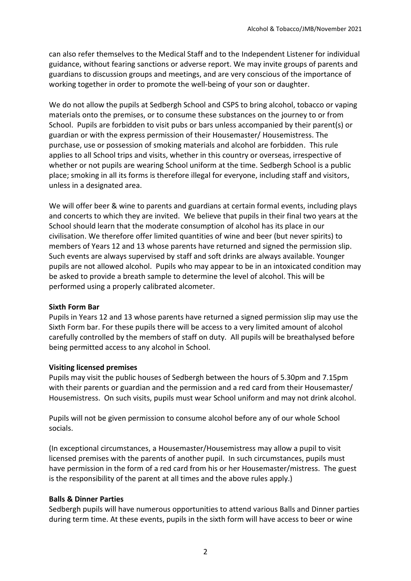can also refer themselves to the Medical Staff and to the Independent Listener for individual guidance, without fearing sanctions or adverse report. We may invite groups of parents and guardians to discussion groups and meetings, and are very conscious of the importance of working together in order to promote the well-being of your son or daughter.

We do not allow the pupils at Sedbergh School and CSPS to bring alcohol, tobacco or vaping materials onto the premises, or to consume these substances on the journey to or from School. Pupils are forbidden to visit pubs or bars unless accompanied by their parent(s) or guardian or with the express permission of their Housemaster/ Housemistress. The purchase, use or possession of smoking materials and alcohol are forbidden. This rule applies to all School trips and visits, whether in this country or overseas, irrespective of whether or not pupils are wearing School uniform at the time. Sedbergh School is a public place; smoking in all its forms is therefore illegal for everyone, including staff and visitors, unless in a designated area.

We will offer beer & wine to parents and guardians at certain formal events, including plays and concerts to which they are invited. We believe that pupils in their final two years at the School should learn that the moderate consumption of alcohol has its place in our civilisation. We therefore offer limited quantities of wine and beer (but never spirits) to members of Years 12 and 13 whose parents have returned and signed the permission slip. Such events are always supervised by staff and soft drinks are always available. Younger pupils are not allowed alcohol. Pupils who may appear to be in an intoxicated condition may be asked to provide a breath sample to determine the level of alcohol. This will be performed using a properly calibrated alcometer.

#### **Sixth Form Bar**

Pupils in Years 12 and 13 whose parents have returned a signed permission slip may use the Sixth Form bar. For these pupils there will be access to a very limited amount of alcohol carefully controlled by the members of staff on duty. All pupils will be breathalysed before being permitted access to any alcohol in School.

#### **Visiting licensed premises**

Pupils may visit the public houses of Sedbergh between the hours of 5.30pm and 7.15pm with their parents or guardian and the permission and a red card from their Housemaster/ Housemistress. On such visits, pupils must wear School uniform and may not drink alcohol.

Pupils will not be given permission to consume alcohol before any of our whole School socials.

(In exceptional circumstances, a Housemaster/Housemistress may allow a pupil to visit licensed premises with the parents of another pupil. In such circumstances, pupils must have permission in the form of a red card from his or her Housemaster/mistress. The guest is the responsibility of the parent at all times and the above rules apply.)

#### **Balls & Dinner Parties**

Sedbergh pupils will have numerous opportunities to attend various Balls and Dinner parties during term time. At these events, pupils in the sixth form will have access to beer or wine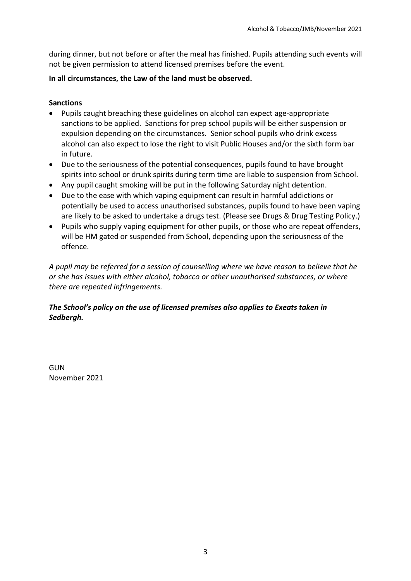during dinner, but not before or after the meal has finished. Pupils attending such events will not be given permission to attend licensed premises before the event.

### **In all circumstances, the Law of the land must be observed.**

## **Sanctions**

- Pupils caught breaching these guidelines on alcohol can expect age-appropriate sanctions to be applied. Sanctions for prep school pupils will be either suspension or expulsion depending on the circumstances. Senior school pupils who drink excess alcohol can also expect to lose the right to visit Public Houses and/or the sixth form bar in future.
- Due to the seriousness of the potential consequences, pupils found to have brought spirits into school or drunk spirits during term time are liable to suspension from School.
- Any pupil caught smoking will be put in the following Saturday night detention.
- Due to the ease with which vaping equipment can result in harmful addictions or potentially be used to access unauthorised substances, pupils found to have been vaping are likely to be asked to undertake a drugs test. (Please see Drugs & Drug Testing Policy.)
- Pupils who supply vaping equipment for other pupils, or those who are repeat offenders, will be HM gated or suspended from School, depending upon the seriousness of the offence.

*A pupil may be referred for a session of counselling where we have reason to believe that he or she has issues with either alcohol, tobacco or other unauthorised substances, or where there are repeated infringements.* 

# *The School's policy on the use of licensed premises also applies to Exeats taken in Sedbergh.*

**GUN** November 2021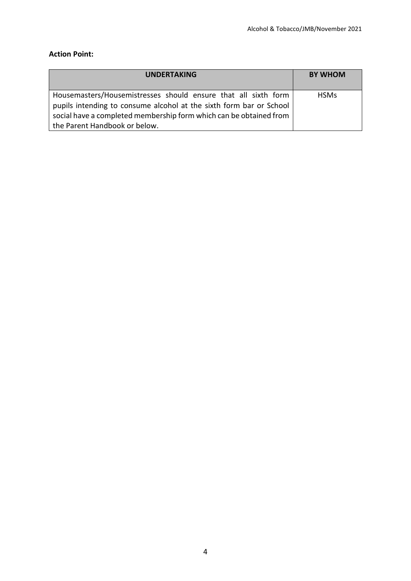# **Action Point:**

| <b>UNDERTAKING</b>                                                                                                                                                                                                                           | <b>BY WHOM</b> |
|----------------------------------------------------------------------------------------------------------------------------------------------------------------------------------------------------------------------------------------------|----------------|
| Housemasters/Housemistresses should ensure that all sixth form<br>pupils intending to consume alcohol at the sixth form bar or School<br>social have a completed membership form which can be obtained from<br>the Parent Handbook or below. | <b>HSMs</b>    |